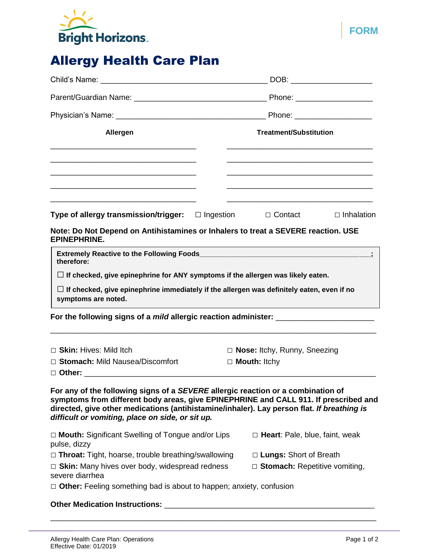

# Allergy Health Care Plan

|                                                                                                                     |                        |                | Phone: _____________________ |  |
|---------------------------------------------------------------------------------------------------------------------|------------------------|----------------|------------------------------|--|
|                                                                                                                     |                        |                |                              |  |
| Allergen                                                                                                            | Treatment/Substitution |                |                              |  |
|                                                                                                                     |                        |                |                              |  |
|                                                                                                                     |                        |                |                              |  |
| <u> 1989 - John Stone, Amerikaans en beskriuw fan de Fryske kommunister fan de Fryske kommunister fan de Fryske</u> |                        |                |                              |  |
| Type of allergy transmission/trigger: $\Box$ Ingestion                                                              |                        | $\Box$ Contact | $\Box$ Inhalation            |  |

**Note: Do Not Depend on Antihistamines or Inhalers to treat a SEVERE reaction. USE EPINEPHRINE.**

| <b>Extremely Reactive to the Following Foods</b><br>therefore:                                                          |  |
|-------------------------------------------------------------------------------------------------------------------------|--|
| $\Box$ If checked, give epinephrine for ANY symptoms if the allergen was likely eaten.                                  |  |
| $\Box$ If checked, give epinephrine immediately if the allergen was definitely eaten, even if no<br>symptoms are noted. |  |

**For the following signs of a** *mild* **allergic reaction administer:** \_\_\_\_\_\_\_\_\_\_\_\_\_\_\_\_\_\_\_\_\_\_\_

| $\Box$ Skin: Hives: Mild Itch                                                 | $\Box$ <b>Nose:</b> Itchy, Runny, Sneezing |  |  |  |
|-------------------------------------------------------------------------------|--------------------------------------------|--|--|--|
| □ Stomach: Mild Nausea/Discomfort                                             | $\Box$ Mouth: Itchy                        |  |  |  |
| $\Box$ Other:                                                                 |                                            |  |  |  |
| The control declination of the CEVEDE allocate acceded controlled the deal of |                                            |  |  |  |

\_\_\_\_\_\_\_\_\_\_\_\_\_\_\_\_\_\_\_\_\_\_\_\_\_\_\_\_\_\_\_\_\_\_\_\_\_\_\_\_\_\_\_\_\_\_\_\_\_\_\_\_\_\_\_\_\_\_\_\_\_\_\_\_\_\_\_\_\_\_\_\_\_\_\_\_

**For any of the following signs of a** *SEVERE* **allergic reaction or a combination of symptoms from different body areas, give EPINEPHRINE and CALL 911. If prescribed and directed, give other medications (antihistamine/inhaler). Lay person flat.** *If breathing is difficult or vomiting, place on side, or sit up.* 

| $\Box$ Mouth: Significant Swelling of Tongue and/or Lips                   | $\Box$ Heart: Pale, blue, faint, weak |  |  |  |
|----------------------------------------------------------------------------|---------------------------------------|--|--|--|
| pulse, dizzy                                                               |                                       |  |  |  |
| $\Box$ Throat: Tight, hoarse, trouble breathing/swallowing                 | $\Box$ Lungs: Short of Breath         |  |  |  |
| $\Box$ Skin: Many hives over body, widespread redness<br>severe diarrhea   | $\Box$ Stomach: Repetitive vomiting,  |  |  |  |
| $\Box$ Other: Feeling something bad is about to happen; anxiety, confusion |                                       |  |  |  |
| Athen Medication Instruments                                               |                                       |  |  |  |

\_\_\_\_\_\_\_\_\_\_\_\_\_\_\_\_\_\_\_\_\_\_\_\_\_\_\_\_\_\_\_\_\_\_\_\_\_\_\_\_\_\_\_\_\_\_\_\_\_\_\_\_\_\_\_\_\_\_\_\_\_\_\_\_\_\_\_\_\_\_\_\_\_\_\_\_